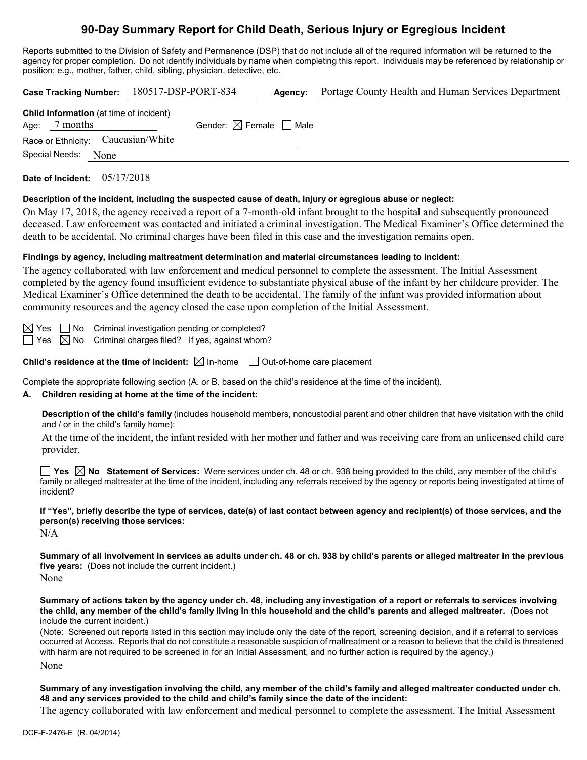# **90-Day Summary Report for Child Death, Serious Injury or Egregious Incident**

Reports submitted to the Division of Safety and Permanence (DSP) that do not include all of the required information will be returned to the agency for proper completion. Do not identify individuals by name when completing this report. Individuals may be referenced by relationship or position; e.g., mother, father, child, sibling, physician, detective, etc.

| Agency: Portage County Health and Human Services Department<br>Case Tracking Number: 180517-DSP-PORT-834                                                                                                                                                                                                                                                                                                                                                                                                                                                                                          |  |  |  |  |
|---------------------------------------------------------------------------------------------------------------------------------------------------------------------------------------------------------------------------------------------------------------------------------------------------------------------------------------------------------------------------------------------------------------------------------------------------------------------------------------------------------------------------------------------------------------------------------------------------|--|--|--|--|
| Child Information (at time of incident)<br>Age: 7 months<br>Gender: $\boxtimes$ Female $\Box$ Male<br>Race or Ethnicity: Caucasian/White                                                                                                                                                                                                                                                                                                                                                                                                                                                          |  |  |  |  |
| Special Needs:<br>None                                                                                                                                                                                                                                                                                                                                                                                                                                                                                                                                                                            |  |  |  |  |
| Date of Incident: 05/17/2018                                                                                                                                                                                                                                                                                                                                                                                                                                                                                                                                                                      |  |  |  |  |
| Description of the incident, including the suspected cause of death, injury or egregious abuse or neglect:<br>On May 17, 2018, the agency received a report of a 7-month-old infant brought to the hospital and subsequently pronounced<br>deceased. Law enforcement was contacted and initiated a criminal investigation. The Medical Examiner's Office determined the<br>death to be accidental. No criminal charges have been filed in this case and the investigation remains open.                                                                                                           |  |  |  |  |
| Findings by agency, including maltreatment determination and material circumstances leading to incident:<br>The agency collaborated with law enforcement and medical personnel to complete the assessment. The Initial Assessment<br>completed by the agency found insufficient evidence to substantiate physical abuse of the infant by her childcare provider. The<br>Medical Examiner's Office determined the death to be accidental. The family of the infant was provided information about<br>community resources and the agency closed the case upon completion of the Initial Assessment. |  |  |  |  |
| Criminal investigation pending or completed?<br>$\boxtimes$ Yes $\Box$ No<br>$\Box$ Yes $\boxtimes$ No Criminal charges filed? If yes, against whom?                                                                                                                                                                                                                                                                                                                                                                                                                                              |  |  |  |  |
| <b>Child's residence at the time of incident:</b> $\boxtimes$ In-home $\Box$ Out-of-home care placement                                                                                                                                                                                                                                                                                                                                                                                                                                                                                           |  |  |  |  |
| Complete the appropriate following section (A. or B. based on the child's residence at the time of the incident).<br>Children residing at home at the time of the incident:<br>А.                                                                                                                                                                                                                                                                                                                                                                                                                 |  |  |  |  |
| Description of the child's family (includes household members, noncustodial parent and other children that have visitation with the child<br>and / or in the child's family home):                                                                                                                                                                                                                                                                                                                                                                                                                |  |  |  |  |
| At the time of the incident, the infant resided with her mother and father and was receiving care from an unlicensed child care<br>provider.                                                                                                                                                                                                                                                                                                                                                                                                                                                      |  |  |  |  |
| <b>∐ Yes </b> $\boxtimes$ No Statement of Services: Were services under ch. 48 or ch. 938 being provided to the child, any member of the child's<br>family or alleged maltreater at the time of the incident, including any referrals received by the agency or reports being investigated at time of<br>incident?                                                                                                                                                                                                                                                                                |  |  |  |  |
| If "Yes", briefly describe the type of services, date(s) of last contact between agency and recipient(s) of those services, and the<br>person(s) receiving those services:<br>N/A                                                                                                                                                                                                                                                                                                                                                                                                                 |  |  |  |  |
| Summary of all involvement in services as adults under ch. 48 or ch. 938 by child's parents or alleged maltreater in the previous<br>five years: (Does not include the current incident.)<br>None                                                                                                                                                                                                                                                                                                                                                                                                 |  |  |  |  |
| Summary of actions taken by the agency under ch. 48, including any investigation of a report or referrals to services involving<br>the child, any member of the child's family living in this household and the child's parents and alleged maltreater. (Does not<br>include the current incident.)                                                                                                                                                                                                                                                                                               |  |  |  |  |
| (Note: Screened out reports listed in this section may include only the date of the report, screening decision, and if a referral to services<br>occurred at Access. Reports that do not constitute a reasonable suspicion of maltreatment or a reason to believe that the child is threatened<br>with harm are not required to be screened in for an Initial Assessment, and no further action is required by the agency.)                                                                                                                                                                       |  |  |  |  |
| None                                                                                                                                                                                                                                                                                                                                                                                                                                                                                                                                                                                              |  |  |  |  |

**Summary of any investigation involving the child, any member of the child's family and alleged maltreater conducted under ch. 48 and any services provided to the child and child's family since the date of the incident:**

The agency collaborated with law enforcement and medical personnel to complete the assessment. The Initial Assessment